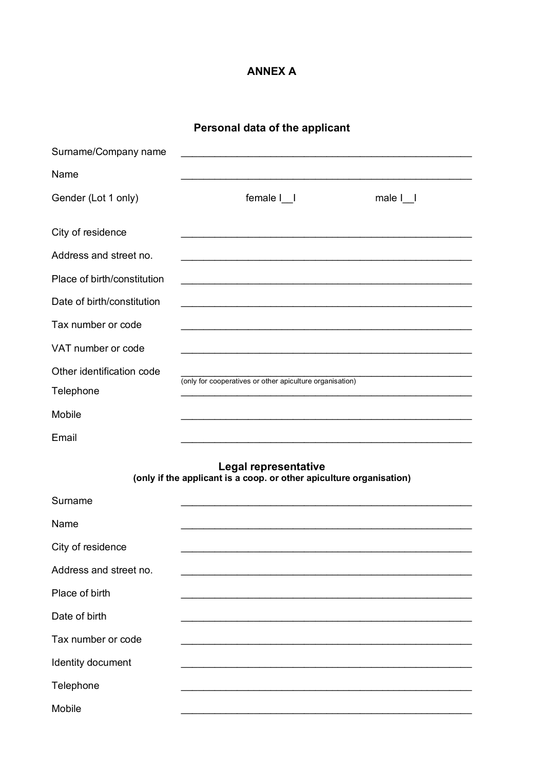### **ANNEX A**

| Personal data of the applicant |  |
|--------------------------------|--|
|--------------------------------|--|

| Surname/Company name        |                                                                                                                 |      |
|-----------------------------|-----------------------------------------------------------------------------------------------------------------|------|
| Name                        |                                                                                                                 |      |
| Gender (Lot 1 only)         | female                                                                                                          | male |
| City of residence           |                                                                                                                 |      |
| Address and street no.      | <u> 1989 - Andrea Stadt Brandenburg, Amerikaansk politiker (* 1908)</u>                                         |      |
| Place of birth/constitution |                                                                                                                 |      |
| Date of birth/constitution  | the contract of the contract of the contract of the contract of the contract of the contract of the contract of |      |
| Tax number or code          |                                                                                                                 |      |
| VAT number or code          |                                                                                                                 |      |
| Other identification code   | (only for cooperatives or other apiculture organisation)                                                        |      |
| Telephone                   |                                                                                                                 |      |
| Mobile                      |                                                                                                                 |      |
|                             |                                                                                                                 |      |
| Email                       |                                                                                                                 |      |
|                             | Legal representative<br>(only if the applicant is a coop. or other apiculture organisation)                     |      |
| Surname                     |                                                                                                                 |      |
| Name                        |                                                                                                                 |      |
| City of residence           |                                                                                                                 |      |
| Address and street no.      |                                                                                                                 |      |
| Place of birth              |                                                                                                                 |      |
| Date of birth               |                                                                                                                 |      |
| Tax number or code          |                                                                                                                 |      |
| Identity document           |                                                                                                                 |      |
| Telephone                   |                                                                                                                 |      |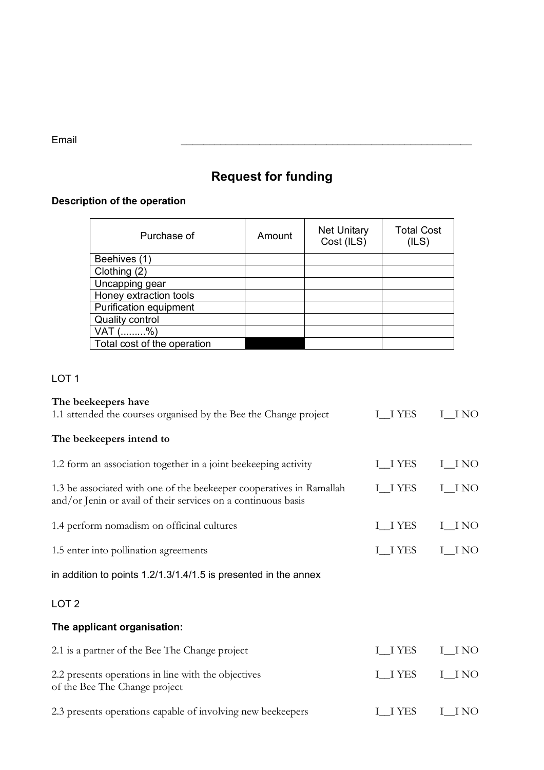Email **Email and the contract of the contract of the contract of the contract of the contract of the contract of the contract of the contract of the contract of the contract of the contract of the contract of the contract** 

# **Request for funding**

## **Description of the operation**

| Purchase of                 | Amount | <b>Net Unitary</b><br>Cost (ILS) | <b>Total Cost</b><br>(ILS) |
|-----------------------------|--------|----------------------------------|----------------------------|
| Beehives (1)                |        |                                  |                            |
| Clothing (2)                |        |                                  |                            |
| Uncapping gear              |        |                                  |                            |
| Honey extraction tools      |        |                                  |                            |
| Purification equipment      |        |                                  |                            |
| <b>Quality control</b>      |        |                                  |                            |
| $\%$<br>VAT                 |        |                                  |                            |
| Total cost of the operation |        |                                  |                            |

### LOT<sub>1</sub>

| The beekeepers have                                                                                                                   |                |         |
|---------------------------------------------------------------------------------------------------------------------------------------|----------------|---------|
| 1.1 attended the courses organised by the Bee the Change project                                                                      | I IYES         | I INO   |
| The beekeepers intend to                                                                                                              |                |         |
| 1.2 form an association together in a joint beekeeping activity                                                                       | <b>I_I YES</b> | $I$ NO  |
| 1.3 be associated with one of the beekeeper cooperatives in Ramallah<br>and/or Jenin or avail of their services on a continuous basis | <b>I_I YES</b> | I_INO   |
| 1.4 perform nomadism on officinal cultures                                                                                            | <b>I_IYES</b>  | I_I NO  |
| 1.5 enter into pollination agreements                                                                                                 | <b>I_IYES</b>  | I_INO   |
| in addition to points 1.2/1.3/1.4/1.5 is presented in the annex                                                                       |                |         |
| LOT <sub>2</sub>                                                                                                                      |                |         |
| The applicant organisation:                                                                                                           |                |         |
| 2.1 is a partner of the Bee The Change project                                                                                        | <b>I_IYES</b>  | I_I NO  |
| 2.2 presents operations in line with the objectives<br>of the Bee The Change project                                                  | <b>I_I YES</b> | $I$ INO |
| 2.3 presents operations capable of involving new beekeepers                                                                           | I IYES         | I INO   |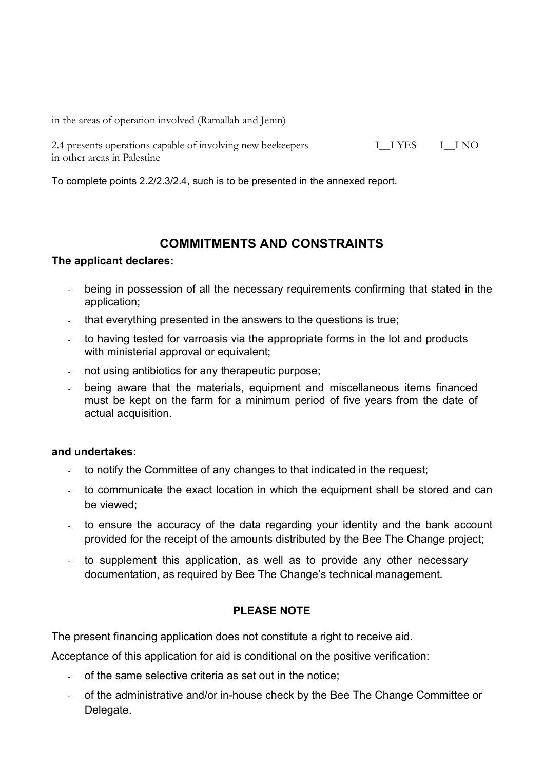in the areas of operation involved (Ramallah and Jenin)

2.4 presents operations capable of involving new beekeepers II I YES II NO in other areas in Palestine

To complete points 2.2/2.3/2.4, such is to be presented in the annexed report.

### **COMMITMENTS AND CONSTRAINTS**

#### **The applicant declares:**

- being in possession of all the necessary requirements confirming that stated in the application;
- that everything presented in the answers to the questions is true;
- to having tested for varroasis via the appropriate forms in the lot and products with ministerial approval or equivalent;
- not using antibiotics for any therapeutic purpose;
- being aware that the materials, equipment and miscellaneous items financed must be kept on the farm for a minimum period of five years from the date of actual acquisition.

#### **and undertakes:**

- to notify the Committee of any changes to that indicated in the request;
- to communicate the exact location in which the equipment shall be stored and can be viewed;
- to ensure the accuracy of the data regarding your identity and the bank account provided for the receipt of the amounts distributed by the Bee The Change project;
- to supplement this application, as well as to provide any other necessary documentation, as required by Bee The Change's technical management.

#### **PLEASE NOTE**

The present financing application does not constitute a right to receive aid.

Acceptance of this application for aid is conditional on the positive verification:

- of the same selective criteria as set out in the notice;
- of the administrative and/or in-house check by the Bee The Change Committee or Delegate.